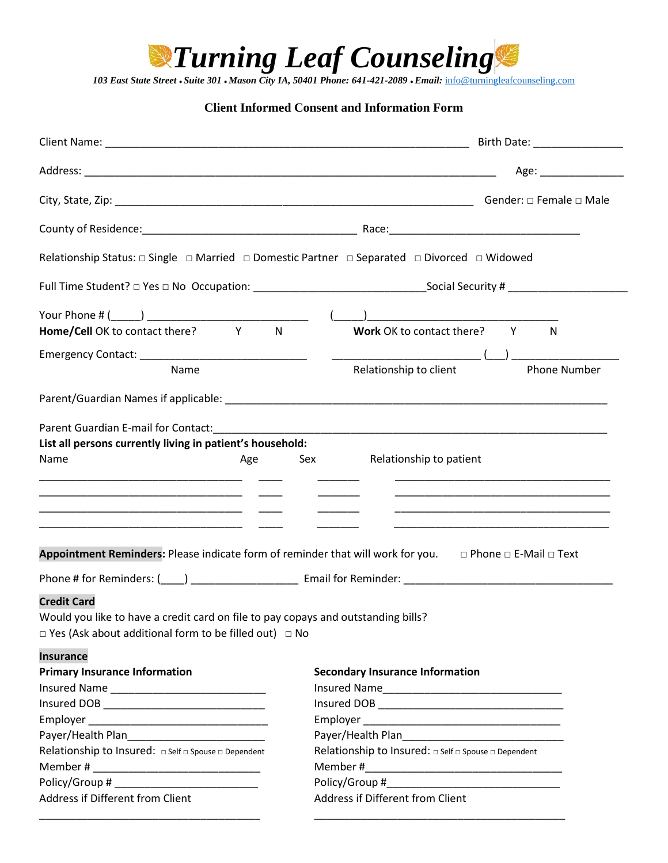

*103 East State Street* **●** *Suite 301* **●** *Mason City IA, 50401 Phone: 641-421-2089* **●** *Email:* [info@turningleafcounseling.com](mailto:info@turningleafcounseling.com)

#### **Client Informed Consent and Information Form**

| Client Name: contract to the contract of the contract of the contract of the contract of the contract of the contract of the contract of the contract of the contract of the contract of the contract of the contract of the c | Birth Date: _________________                                                                                                                                                                                                        |
|--------------------------------------------------------------------------------------------------------------------------------------------------------------------------------------------------------------------------------|--------------------------------------------------------------------------------------------------------------------------------------------------------------------------------------------------------------------------------------|
|                                                                                                                                                                                                                                | Age: _________________                                                                                                                                                                                                               |
|                                                                                                                                                                                                                                | Gender: □ Female □ Male                                                                                                                                                                                                              |
|                                                                                                                                                                                                                                |                                                                                                                                                                                                                                      |
| Relationship Status:  □ Single □ Married □ Domestic Partner □ Separated □ Divorced □ Widowed                                                                                                                                   |                                                                                                                                                                                                                                      |
|                                                                                                                                                                                                                                |                                                                                                                                                                                                                                      |
|                                                                                                                                                                                                                                |                                                                                                                                                                                                                                      |
|                                                                                                                                                                                                                                | N                                                                                                                                                                                                                                    |
|                                                                                                                                                                                                                                |                                                                                                                                                                                                                                      |
| Name                                                                                                                                                                                                                           | Relationship to client<br><b>Phone Number</b>                                                                                                                                                                                        |
|                                                                                                                                                                                                                                |                                                                                                                                                                                                                                      |
| Name<br><u> 1989 - John Stein, mars and der Stein and der Stein and der Stein and der Stein and der Stein and der Stein a</u>                                                                                                  | Relationship to patient<br>Age Sex<br><u> 1980 - Jan James James Barnett, amerikansk politik (d. 1980)</u><br>Appointment Reminders: Please indicate form of reminder that will work for you. $\Box$ Phone $\Box$ E-Mail $\Box$ Text |
|                                                                                                                                                                                                                                | Phone # for Reminders: (____) ____________________________ Email for Reminder: _______________________________                                                                                                                       |
| <b>Credit Card</b><br>Would you like to have a credit card on file to pay copays and outstanding bills?<br>$\Box$ Yes (Ask about additional form to be filled out) $\Box$ No<br><b>Insurance</b>                               |                                                                                                                                                                                                                                      |
| <b>Primary Insurance Information</b>                                                                                                                                                                                           | <b>Secondary Insurance Information</b>                                                                                                                                                                                               |
|                                                                                                                                                                                                                                |                                                                                                                                                                                                                                      |
|                                                                                                                                                                                                                                |                                                                                                                                                                                                                                      |
|                                                                                                                                                                                                                                |                                                                                                                                                                                                                                      |
|                                                                                                                                                                                                                                |                                                                                                                                                                                                                                      |
| Relationship to Insured: $\Box$ Self $\Box$ Spouse $\Box$ Dependent                                                                                                                                                            | Relationship to Insured: $\Box$ Self $\Box$ Spouse $\Box$ Dependent                                                                                                                                                                  |
|                                                                                                                                                                                                                                |                                                                                                                                                                                                                                      |
| Address if Different from Client                                                                                                                                                                                               | Address if Different from Client                                                                                                                                                                                                     |
|                                                                                                                                                                                                                                |                                                                                                                                                                                                                                      |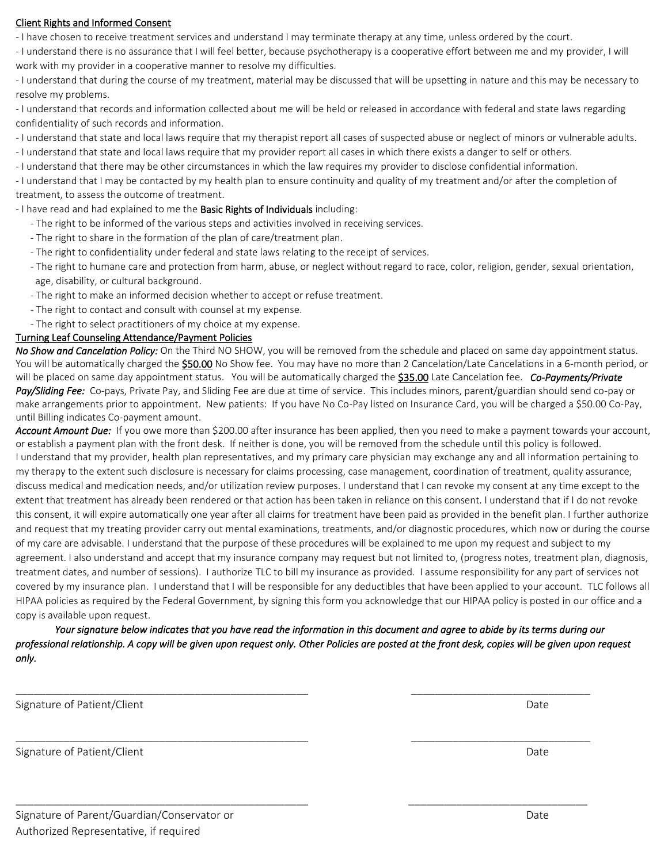#### Client Rights and Informed Consent

- I have chosen to receive treatment services and understand I may terminate therapy at any time, unless ordered by the court.

- I understand there is no assurance that I will feel better, because psychotherapy is a cooperative effort between me and my provider, I will work with my provider in a cooperative manner to resolve my difficulties.

- I understand that during the course of my treatment, material may be discussed that will be upsetting in nature and this may be necessary to resolve my problems.

- I understand that records and information collected about me will be held or released in accordance with federal and state laws regarding confidentiality of such records and information.

- I understand that state and local laws require that my therapist report all cases of suspected abuse or neglect of minors or vulnerable adults.

- I understand that state and local laws require that my provider report all cases in which there exists a danger to self or others.

- I understand that there may be other circumstances in which the law requires my provider to disclose confidential information.

- I understand that I may be contacted by my health plan to ensure continuity and quality of my treatment and/or after the completion of treatment, to assess the outcome of treatment.

- I have read and had explained to me the **Basic Rights of Individuals** including:

- The right to be informed of the various steps and activities involved in receiving services.
- The right to share in the formation of the plan of care/treatment plan.
- The right to confidentiality under federal and state laws relating to the receipt of services.
- The right to humane care and protection from harm, abuse, or neglect without regard to race, color, religion, gender, sexual orientation, age, disability, or cultural background.
- The right to make an informed decision whether to accept or refuse treatment.
- The right to contact and consult with counsel at my expense.
- The right to select practitioners of my choice at my expense.

#### Turning Leaf Counseling Attendance/Payment Policies

*No Show and Cancelation Policy:* On the Third NO SHOW, you will be removed from the schedule and placed on same day appointment status. You will be automatically charged the **\$50.00** No Show fee. You may have no more than 2 Cancelation/Late Cancelations in a 6-month period, or will be placed on same day appointment status. You will be automatically charged the \$35.00 Late Cancelation fee. *Co-Payments/Private Pay/Sliding Fee:* Co-pays, Private Pay, and Sliding Fee are due at time of service. This includes minors, parent/guardian should send co-pay or make arrangements prior to appointment. New patients: If you have No Co-Pay listed on Insurance Card, you will be charged a \$50.00 Co-Pay, until Billing indicates Co-payment amount.

*Account Amount Due:* If you owe more than \$200.00 after insurance has been applied, then you need to make a payment towards your account, or establish a payment plan with the front desk. If neither is done, you will be removed from the schedule until this policy is followed. I understand that my provider, health plan representatives, and my primary care physician may exchange any and all information pertaining to my therapy to the extent such disclosure is necessary for claims processing, case management, coordination of treatment, quality assurance, discuss medical and medication needs, and/or utilization review purposes. I understand that I can revoke my consent at any time except to the extent that treatment has already been rendered or that action has been taken in reliance on this consent. I understand that if I do not revoke this consent, it will expire automatically one year after all claims for treatment have been paid as provided in the benefit plan. I further authorize and request that my treating provider carry out mental examinations, treatments, and/or diagnostic procedures, which now or during the course of my care are advisable. I understand that the purpose of these procedures will be explained to me upon my request and subject to my agreement. I also understand and accept that my insurance company may request but not limited to, (progress notes, treatment plan, diagnosis, treatment dates, and number of sessions). I authorize TLC to bill my insurance as provided. I assume responsibility for any part of services not covered by my insurance plan. I understand that I will be responsible for any deductibles that have been applied to your account. TLC follows all HIPAA policies as required by the Federal Government, by signing this form you acknowledge that our HIPAA policy is posted in our office and a copy is available upon request.

*Your signature below indicates that you have read the information in this document and agree to abide by its terms during our professional relationship. A copy will be given upon request only. Other Policies are posted at the front desk, copies will be given upon request only.*

\_\_\_\_\_\_\_\_\_\_\_\_\_\_\_\_\_\_\_\_\_\_\_\_\_\_\_\_\_\_\_\_\_\_\_\_\_\_\_\_\_\_\_\_\_\_\_\_\_ \_\_\_\_\_\_\_\_\_\_\_\_\_\_\_\_\_\_\_\_\_\_\_\_\_\_\_\_\_\_

\_\_\_\_\_\_\_\_\_\_\_\_\_\_\_\_\_\_\_\_\_\_\_\_\_\_\_\_\_\_\_\_\_\_\_\_\_\_\_\_\_\_\_\_\_\_\_\_\_ \_\_\_\_\_\_\_\_\_\_\_\_\_\_\_\_\_\_\_\_\_\_\_\_\_\_\_\_\_\_

\_\_\_\_\_\_\_\_\_\_\_\_\_\_\_\_\_\_\_\_\_\_\_\_\_\_\_\_\_\_\_\_\_\_\_\_\_\_\_\_\_\_\_\_\_\_\_\_\_ \_\_\_\_\_\_\_\_\_\_\_\_\_\_\_\_\_\_\_\_\_\_\_\_\_\_\_\_\_\_

Signature of Patient/Client Date

Signature of Patient/Client Date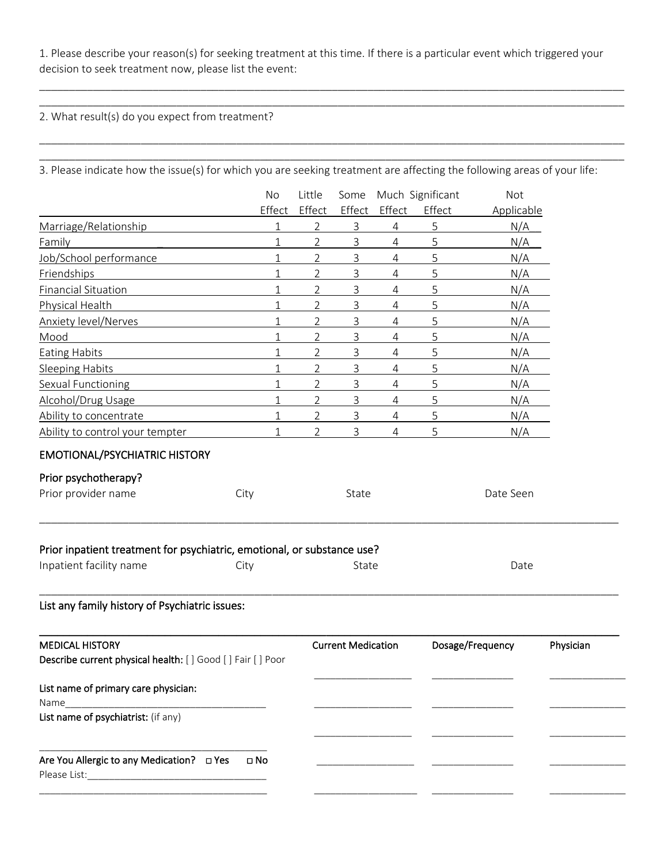1. Please describe your reason(s) for seeking treatment at this time. If there is a particular event which triggered your decision to seek treatment now, please list the event:

\_\_\_\_\_\_\_\_\_\_\_\_\_\_\_\_\_\_\_\_\_\_\_\_\_\_\_\_\_\_\_\_\_\_\_\_\_\_\_\_\_\_\_\_\_\_\_\_\_\_\_\_\_\_\_\_\_\_\_\_\_\_\_\_\_\_\_\_\_\_\_\_\_\_\_\_\_\_\_\_\_\_\_\_\_\_\_\_\_\_\_\_\_\_\_\_\_\_ \_\_\_\_\_\_\_\_\_\_\_\_\_\_\_\_\_\_\_\_\_\_\_\_\_\_\_\_\_\_\_\_\_\_\_\_\_\_\_\_\_\_\_\_\_\_\_\_\_\_\_\_\_\_\_\_\_\_\_\_\_\_\_\_\_\_\_\_\_\_\_\_\_\_\_\_\_\_\_\_\_\_\_\_\_\_\_\_\_\_\_\_\_\_\_\_\_\_

\_\_\_\_\_\_\_\_\_\_\_\_\_\_\_\_\_\_\_\_\_\_\_\_\_\_\_\_\_\_\_\_\_\_\_\_\_\_\_\_\_\_\_\_\_\_\_\_\_\_\_\_\_\_\_\_\_\_\_\_\_\_\_\_\_\_\_\_\_\_\_\_\_\_\_\_\_\_\_\_\_\_\_\_\_\_\_\_\_\_\_\_\_\_\_\_\_\_ \_\_\_\_\_\_\_\_\_\_\_\_\_\_\_\_\_\_\_\_\_\_\_\_\_\_\_\_\_\_\_\_\_\_\_\_\_\_\_\_\_\_\_\_\_\_\_\_\_\_\_\_\_\_\_\_\_\_\_\_\_\_\_\_\_\_\_\_\_\_\_\_\_\_\_\_\_\_\_\_\_\_\_\_\_\_\_\_\_\_\_\_\_\_\_\_\_\_

2. What result(s) do you expect from treatment?

|  | 3. Please indicate how the issue(s) for which you are seeking treatment are affecting the following areas of your life: |
|--|-------------------------------------------------------------------------------------------------------------------------|
|--|-------------------------------------------------------------------------------------------------------------------------|

|                                                                         | No           | Little         |                           |                | Some Much Significant | Not              |           |  |
|-------------------------------------------------------------------------|--------------|----------------|---------------------------|----------------|-----------------------|------------------|-----------|--|
|                                                                         | Effect       | Effect         | Effect                    | Effect         | Effect                | Applicable       |           |  |
| Marriage/Relationship                                                   | 1            | 2              | 3                         | 4              | 5                     | N/A              |           |  |
| Family                                                                  | $\mathbf 1$  | 2              | 3                         | $\overline{4}$ | 5                     | N/A              |           |  |
| Job/School performance                                                  | $\mathbf 1$  | 2              | 3                         | $\overline{4}$ | 5                     | N/A              |           |  |
| Friendships                                                             | $\mathbf{1}$ | $\overline{2}$ | 3                         | 4              | 5                     | N/A              |           |  |
| <b>Financial Situation</b>                                              | $\mathbf 1$  | $\overline{2}$ | 3                         | $\overline{4}$ | 5                     | N/A              |           |  |
| Physical Health                                                         | 1            | 2              | 3                         | 4              | 5                     | N/A              |           |  |
| <b>Anxiety level/Nerves</b>                                             | 1            | 2              | 3                         | $\overline{4}$ | 5                     | N/A              |           |  |
| Mood                                                                    | $\mathbf 1$  | 2              | $\mathsf{3}$              | $\overline{4}$ | 5                     | N/A              |           |  |
| <b>Eating Habits</b>                                                    | $\mathbf{1}$ | 2              | 3                         | 4              | 5                     | N/A              |           |  |
| <b>Sleeping Habits</b>                                                  | $\mathbf{1}$ | 2              | 3                         | $\overline{4}$ | 5                     | N/A              |           |  |
| Sexual Functioning                                                      | $1\,$        | 2              | 3                         | 4              | 5                     | N/A              |           |  |
| Alcohol/Drug Usage                                                      | $\mathbf 1$  | 2              | 3                         | 4              | 5                     | N/A              |           |  |
| Ability to concentrate                                                  | $\mathbf{1}$ | $\overline{2}$ | 3                         | $\overline{4}$ | 5                     | N/A              |           |  |
| Ability to control your tempter                                         | 1            | 2              | 3                         | $\overline{4}$ | 5                     | N/A              |           |  |
| <b>EMOTIONAL/PSYCHIATRIC HISTORY</b>                                    |              |                |                           |                |                       |                  |           |  |
| Prior psychotherapy?                                                    |              |                |                           |                |                       |                  |           |  |
| Prior provider name                                                     | City         |                | State                     |                |                       | Date Seen        |           |  |
|                                                                         |              |                |                           |                |                       |                  |           |  |
| Prior inpatient treatment for psychiatric, emotional, or substance use? |              |                |                           |                |                       |                  |           |  |
| Inpatient facility name                                                 | City         |                | State                     |                |                       | Date             |           |  |
| List any family history of Psychiatric issues:                          |              |                |                           |                |                       |                  |           |  |
| <b>MEDICAL HISTORY</b>                                                  |              |                | <b>Current Medication</b> |                |                       | Dosage/Frequency | Physician |  |
| Describe current physical health: [ ] Good [ ] Fair [ ] Poor            |              |                |                           |                |                       |                  |           |  |
| List name of primary care physician:                                    |              |                |                           |                |                       |                  |           |  |
| Name<br>List name of psychiatrist: (if any)                             |              |                |                           |                |                       |                  |           |  |
|                                                                         |              |                |                           |                |                       |                  |           |  |
| Are You Allergic to any Medication? □ Yes<br>Please List:               | $\square$ No |                |                           |                |                       |                  |           |  |
|                                                                         |              |                |                           |                |                       |                  |           |  |